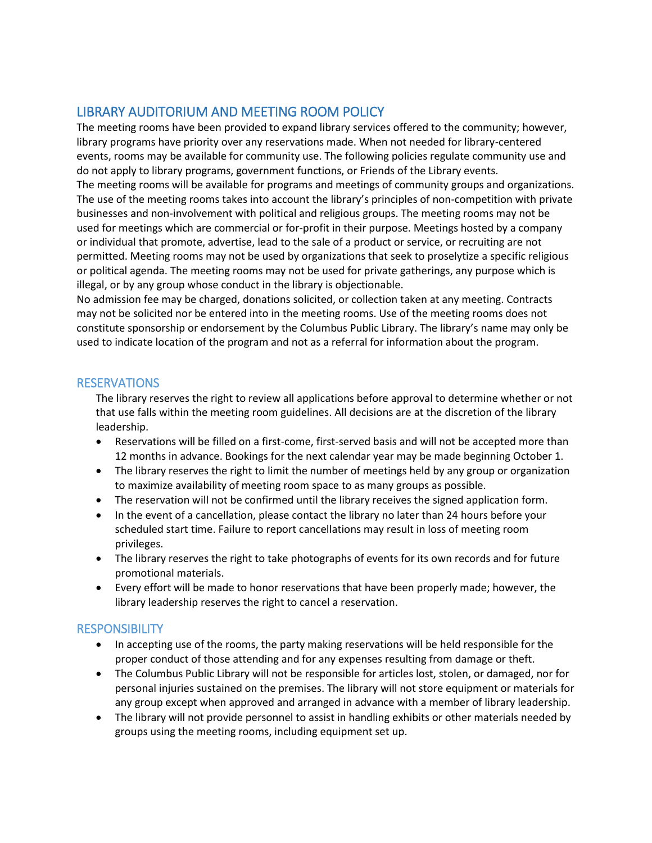## LIBRARY AUDITORIUM AND MEETING ROOM POLICY

The meeting rooms have been provided to expand library services offered to the community; however, library programs have priority over any reservations made. When not needed for library-centered events, rooms may be available for community use. The following policies regulate community use and do not apply to library programs, government functions, or Friends of the Library events. The meeting rooms will be available for programs and meetings of community groups and organizations. The use of the meeting rooms takes into account the library's principles of non-competition with private businesses and non-involvement with political and religious groups. The meeting rooms may not be used for meetings which are commercial or for-profit in their purpose. Meetings hosted by a company or individual that promote, advertise, lead to the sale of a product or service, or recruiting are not permitted. Meeting rooms may not be used by organizations that seek to proselytize a specific religious or political agenda. The meeting rooms may not be used for private gatherings, any purpose which is illegal, or by any group whose conduct in the library is objectionable.

No admission fee may be charged, donations solicited, or collection taken at any meeting. Contracts may not be solicited nor be entered into in the meeting rooms. Use of the meeting rooms does not constitute sponsorship or endorsement by the Columbus Public Library. The library's name may only be used to indicate location of the program and not as a referral for information about the program.

## RESERVATIONS

The library reserves the right to review all applications before approval to determine whether or not that use falls within the meeting room guidelines. All decisions are at the discretion of the library leadership.

- Reservations will be filled on a first-come, first-served basis and will not be accepted more than 12 months in advance. Bookings for the next calendar year may be made beginning October 1.
- The library reserves the right to limit the number of meetings held by any group or organization to maximize availability of meeting room space to as many groups as possible.
- The reservation will not be confirmed until the library receives the signed application form.
- In the event of a cancellation, please contact the library no later than 24 hours before your scheduled start time. Failure to report cancellations may result in loss of meeting room privileges.
- The library reserves the right to take photographs of events for its own records and for future promotional materials.
- Every effort will be made to honor reservations that have been properly made; however, the library leadership reserves the right to cancel a reservation.

## **RESPONSIBILITY**

- In accepting use of the rooms, the party making reservations will be held responsible for the proper conduct of those attending and for any expenses resulting from damage or theft.
- The Columbus Public Library will not be responsible for articles lost, stolen, or damaged, nor for personal injuries sustained on the premises. The library will not store equipment or materials for any group except when approved and arranged in advance with a member of library leadership.
- The library will not provide personnel to assist in handling exhibits or other materials needed by groups using the meeting rooms, including equipment set up.